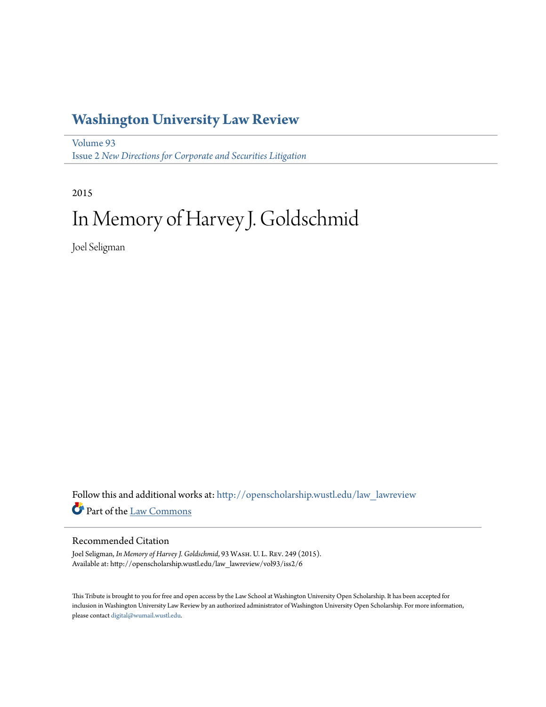## **[Washington University Law Review](http://openscholarship.wustl.edu/law_lawreview?utm_source=openscholarship.wustl.edu%2Flaw_lawreview%2Fvol93%2Fiss2%2F6&utm_medium=PDF&utm_campaign=PDFCoverPages)**

[Volume 93](http://openscholarship.wustl.edu/law_lawreview/vol93?utm_source=openscholarship.wustl.edu%2Flaw_lawreview%2Fvol93%2Fiss2%2F6&utm_medium=PDF&utm_campaign=PDFCoverPages) Issue 2 *[New Directions for Corporate and Securities Litigation](http://openscholarship.wustl.edu/law_lawreview/vol93/iss2?utm_source=openscholarship.wustl.edu%2Flaw_lawreview%2Fvol93%2Fiss2%2F6&utm_medium=PDF&utm_campaign=PDFCoverPages)*

2015

# In Memory of Harvey J. Goldschmid

Joel Seligman

Follow this and additional works at: [http://openscholarship.wustl.edu/law\\_lawreview](http://openscholarship.wustl.edu/law_lawreview?utm_source=openscholarship.wustl.edu%2Flaw_lawreview%2Fvol93%2Fiss2%2F6&utm_medium=PDF&utm_campaign=PDFCoverPages) Part of the [Law Commons](http://network.bepress.com/hgg/discipline/578?utm_source=openscholarship.wustl.edu%2Flaw_lawreview%2Fvol93%2Fiss2%2F6&utm_medium=PDF&utm_campaign=PDFCoverPages)

#### Recommended Citation

Joel Seligman, *In Memory of Harvey J. Goldschmid*, 93 Wash. U. L. Rev. 249 (2015). Available at: http://openscholarship.wustl.edu/law\_lawreview/vol93/iss2/6

This Tribute is brought to you for free and open access by the Law School at Washington University Open Scholarship. It has been accepted for inclusion in Washington University Law Review by an authorized administrator of Washington University Open Scholarship. For more information, please contact [digital@wumail.wustl.edu.](mailto:digital@wumail.wustl.edu)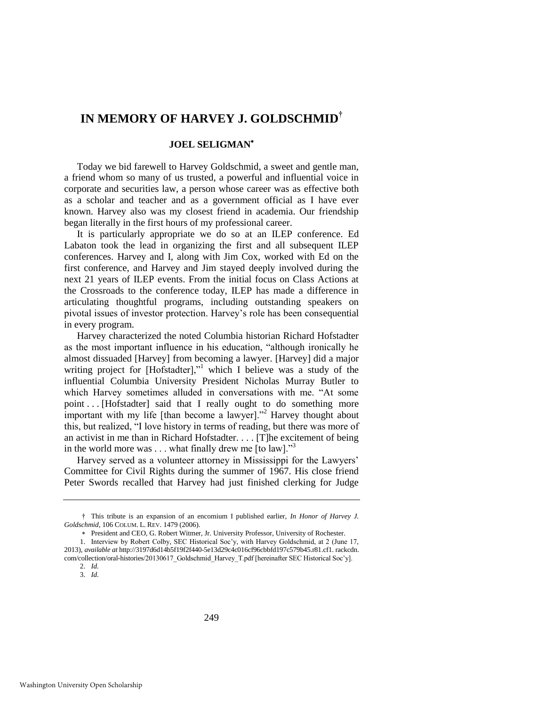### **IN MEMORY OF HARVEY J. GOLDSCHMID†**

#### **JOEL SELIGMAN**

Today we bid farewell to Harvey Goldschmid, a sweet and gentle man, a friend whom so many of us trusted, a powerful and influential voice in corporate and securities law, a person whose career was as effective both as a scholar and teacher and as a government official as I have ever known. Harvey also was my closest friend in academia. Our friendship began literally in the first hours of my professional career.

It is particularly appropriate we do so at an ILEP conference. Ed Labaton took the lead in organizing the first and all subsequent ILEP conferences. Harvey and I, along with Jim Cox, worked with Ed on the first conference, and Harvey and Jim stayed deeply involved during the next 21 years of ILEP events. From the initial focus on Class Actions at the Crossroads to the conference today, ILEP has made a difference in articulating thoughtful programs, including outstanding speakers on pivotal issues of investor protection. Harvey's role has been consequential in every program.

<span id="page-1-0"></span>Harvey characterized the noted Columbia historian Richard Hofstadter as the most important influence in his education, "although ironically he almost dissuaded [Harvey] from becoming a lawyer. [Harvey] did a major writing project for [Hofstadter]," which I believe was a study of the influential Columbia University President Nicholas Murray Butler to which Harvey sometimes alluded in conversations with me. "At some point . . . [Hofstadter] said that I really ought to do something more important with my life [than become a lawyer]."<sup>2</sup> Harvey thought about this, but realized, "I love history in terms of reading, but there was more of an activist in me than in Richard Hofstadter. . . . [T]he excitement of being in the world more was  $\dots$  what finally drew me [to law].<sup>33</sup>

Harvey served as a volunteer attorney in Mississippi for the Lawyers' Committee for Civil Rights during the summer of 1967. His close friend Peter Swords recalled that Harvey had just finished clerking for Judge

<sup>†</sup> This tribute is an expansion of an encomium I published earlier, *In Honor of Harvey J. Goldschmid*, 106 COLUM. L. REV. 1479 (2006).

President and CEO, G. Robert Witmer, Jr. University Professor, University of Rochester.

<sup>1.</sup> Interview by Robert Colby, SEC Historical Soc'y, with Harvey Goldschmid, at 2 (June 17, 2013), *available at* http://3197d6d14b5f19f2f440-5e13d29c4c016cf96cbbfd197c579b45.r81.cf1. rackcdn. com/collection/oral-histories/20130617\_Goldschmid\_Harvey\_T.pdf [hereinafter SEC Historical Soc'y]. 2. *Id.*

<sup>3.</sup> *Id.*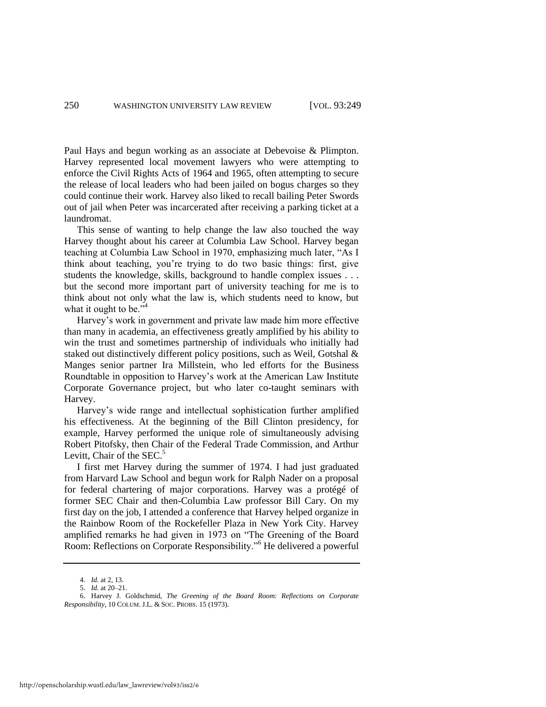Paul Hays and begun working as an associate at Debevoise & Plimpton. Harvey represented local movement lawyers who were attempting to enforce the Civil Rights Acts of 1964 and 1965, often attempting to secure the release of local leaders who had been jailed on bogus charges so they could continue their work. Harvey also liked to recall bailing Peter Swords out of jail when Peter was incarcerated after receiving a parking ticket at a laundromat.

This sense of wanting to help change the law also touched the way Harvey thought about his career at Columbia Law School. Harvey began teaching at Columbia Law School in 1970, emphasizing much later, "As I think about teaching, you're trying to do two basic things: first, give students the knowledge, skills, background to handle complex issues . . . but the second more important part of university teaching for me is to think about not only what the law is, which students need to know, but what it ought to be."<sup>4</sup>

Harvey's work in government and private law made him more effective than many in academia, an effectiveness greatly amplified by his ability to win the trust and sometimes partnership of individuals who initially had staked out distinctively different policy positions, such as Weil, Gotshal & Manges senior partner Ira Millstein, who led efforts for the Business Roundtable in opposition to Harvey's work at the American Law Institute Corporate Governance project, but who later co-taught seminars with Harvey.

Harvey's wide range and intellectual sophistication further amplified his effectiveness. At the beginning of the Bill Clinton presidency, for example, Harvey performed the unique role of simultaneously advising Robert Pitofsky, then Chair of the Federal Trade Commission, and Arthur Levitt, Chair of the  $SEC.<sup>5</sup>$ 

I first met Harvey during the summer of 1974. I had just graduated from Harvard Law School and begun work for Ralph Nader on a proposal for federal chartering of major corporations. Harvey was a protégé of former SEC Chair and then-Columbia Law professor Bill Cary. On my first day on the job, I attended a conference that Harvey helped organize in the Rainbow Room of the Rockefeller Plaza in New York City. Harvey amplified remarks he had given in 1973 on "The Greening of the Board Room: Reflections on Corporate Responsibility."<sup>6</sup> He delivered a powerful

<span id="page-2-0"></span><sup>4.</sup> *Id.* at 2, 13.

<sup>5.</sup> *Id.* at 20–21.

<sup>6.</sup> Harvey J. Goldschmid, *The Greening of the Board Room: Reflections on Corporate Responsibility*, 10 COLUM. J.L. & SOC. PROBS. 15 (1973).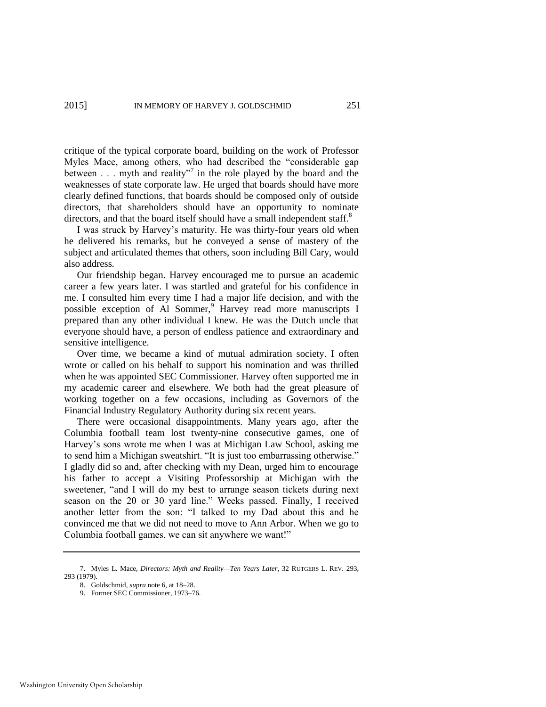critique of the typical corporate board, building on the work of Professor Myles Mace, among others, who had described the "considerable gap between  $\ldots$  myth and reality"<sup>7</sup> in the role played by the board and the weaknesses of state corporate law. He urged that boards should have more clearly defined functions, that boards should be composed only of outside directors, that shareholders should have an opportunity to nominate directors, and that the board itself should have a small independent staff.<sup>8</sup>

I was struck by Harvey's maturity. He was thirty-four years old when he delivered his remarks, but he conveyed a sense of mastery of the subject and articulated themes that others, soon including Bill Cary, would also address.

Our friendship began. Harvey encouraged me to pursue an academic career a few years later. I was startled and grateful for his confidence in me. I consulted him every time I had a major life decision, and with the possible exception of Al Sommer,<sup>9</sup> Harvey read more manuscripts I prepared than any other individual I knew. He was the Dutch uncle that everyone should have, a person of endless patience and extraordinary and sensitive intelligence.

Over time, we became a kind of mutual admiration society. I often wrote or called on his behalf to support his nomination and was thrilled when he was appointed SEC Commissioner. Harvey often supported me in my academic career and elsewhere. We both had the great pleasure of working together on a few occasions, including as Governors of the Financial Industry Regulatory Authority during six recent years.

There were occasional disappointments. Many years ago, after the Columbia football team lost twenty-nine consecutive games, one of Harvey's sons wrote me when I was at Michigan Law School, asking me to send him a Michigan sweatshirt. "It is just too embarrassing otherwise." I gladly did so and, after checking with my Dean, urged him to encourage his father to accept a Visiting Professorship at Michigan with the sweetener, "and I will do my best to arrange season tickets during next season on the 20 or 30 yard line." Weeks passed. Finally, I received another letter from the son: "I talked to my Dad about this and he convinced me that we did not need to move to Ann Arbor. When we go to Columbia football games, we can sit anywhere we want!"

<sup>7.</sup> Myles L. Mace, *Directors: Myth and Reality—Ten Years Later*, 32 RUTGERS L. REV. 293, 293 (1979). 8. Goldschmid, *supra* not[e 6,](#page-2-0) at 18–28.

<sup>9.</sup> Former SEC Commissioner, 1973–76.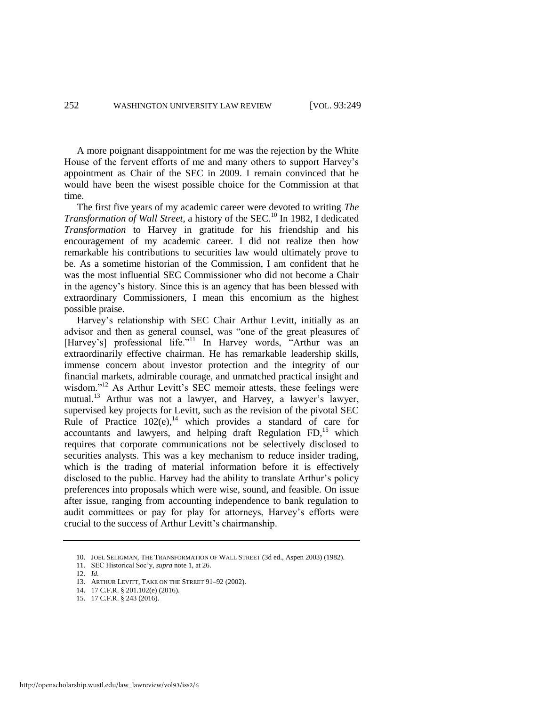A more poignant disappointment for me was the rejection by the White House of the fervent efforts of me and many others to support Harvey's appointment as Chair of the SEC in 2009. I remain convinced that he would have been the wisest possible choice for the Commission at that time.

The first five years of my academic career were devoted to writing *The Transformation of Wall Street*, a history of the SEC.<sup>10</sup> In 1982, I dedicated *Transformation* to Harvey in gratitude for his friendship and his encouragement of my academic career. I did not realize then how remarkable his contributions to securities law would ultimately prove to be. As a sometime historian of the Commission, I am confident that he was the most influential SEC Commissioner who did not become a Chair in the agency's history. Since this is an agency that has been blessed with extraordinary Commissioners, I mean this encomium as the highest possible praise.

Harvey's relationship with SEC Chair Arthur Levitt, initially as an advisor and then as general counsel, was "one of the great pleasures of [Harvey's] professional life."<sup>11</sup> In Harvey words, "Arthur was an extraordinarily effective chairman. He has remarkable leadership skills, immense concern about investor protection and the integrity of our financial markets, admirable courage, and unmatched practical insight and wisdom."<sup>12</sup> As Arthur Levitt's SEC memoir attests, these feelings were mutual.<sup>13</sup> Arthur was not a lawyer, and Harvey, a lawyer's lawyer, supervised key projects for Levitt, such as the revision of the pivotal SEC Rule of Practice  $102(e)$ ,<sup>14</sup> which provides a standard of care for accountants and lawyers, and helping draft Regulation  $FD<sub>15</sub>$  which requires that corporate communications not be selectively disclosed to securities analysts. This was a key mechanism to reduce insider trading, which is the trading of material information before it is effectively disclosed to the public. Harvey had the ability to translate Arthur's policy preferences into proposals which were wise, sound, and feasible. On issue after issue, ranging from accounting independence to bank regulation to audit committees or pay for play for attorneys, Harvey's efforts were crucial to the success of Arthur Levitt's chairmanship.

<sup>10.</sup> JOEL SELIGMAN, THE TRANSFORMATION OF WALL STREET (3d ed., Aspen 2003) (1982).

<sup>11.</sup> SEC Historical Soc'y, *supra* not[e 1,](#page-1-0) at 26.

<sup>12.</sup> *Id.*

<sup>13.</sup> ARTHUR LEVITT, TAKE ON THE STREET 91–92 (2002).

<sup>14. 17</sup> C.F.R. § 201.102(e) (2016).

<sup>15. 17</sup> C.F.R. § 243 (2016).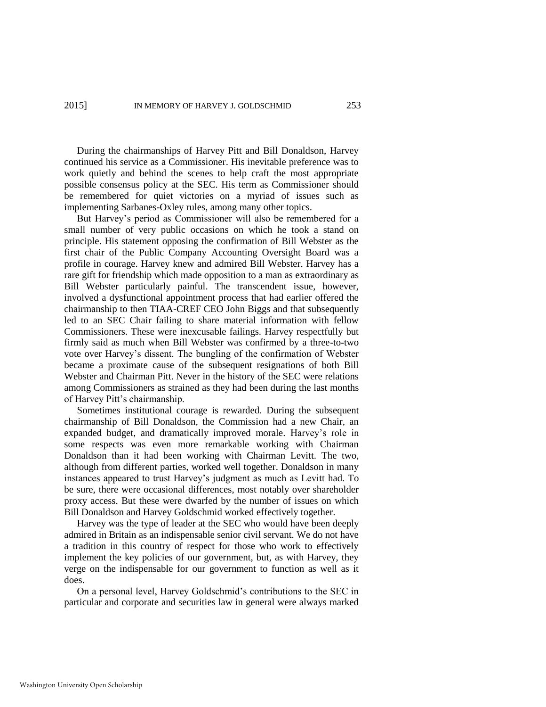During the chairmanships of Harvey Pitt and Bill Donaldson, Harvey continued his service as a Commissioner. His inevitable preference was to work quietly and behind the scenes to help craft the most appropriate possible consensus policy at the SEC. His term as Commissioner should be remembered for quiet victories on a myriad of issues such as implementing Sarbanes-Oxley rules, among many other topics.

But Harvey's period as Commissioner will also be remembered for a small number of very public occasions on which he took a stand on principle. His statement opposing the confirmation of Bill Webster as the first chair of the Public Company Accounting Oversight Board was a profile in courage. Harvey knew and admired Bill Webster. Harvey has a rare gift for friendship which made opposition to a man as extraordinary as Bill Webster particularly painful. The transcendent issue, however, involved a dysfunctional appointment process that had earlier offered the chairmanship to then TIAA-CREF CEO John Biggs and that subsequently led to an SEC Chair failing to share material information with fellow Commissioners. These were inexcusable failings. Harvey respectfully but firmly said as much when Bill Webster was confirmed by a three-to-two vote over Harvey's dissent. The bungling of the confirmation of Webster became a proximate cause of the subsequent resignations of both Bill Webster and Chairman Pitt. Never in the history of the SEC were relations among Commissioners as strained as they had been during the last months of Harvey Pitt's chairmanship.

Sometimes institutional courage is rewarded. During the subsequent chairmanship of Bill Donaldson, the Commission had a new Chair, an expanded budget, and dramatically improved morale. Harvey's role in some respects was even more remarkable working with Chairman Donaldson than it had been working with Chairman Levitt. The two, although from different parties, worked well together. Donaldson in many instances appeared to trust Harvey's judgment as much as Levitt had. To be sure, there were occasional differences, most notably over shareholder proxy access. But these were dwarfed by the number of issues on which Bill Donaldson and Harvey Goldschmid worked effectively together.

Harvey was the type of leader at the SEC who would have been deeply admired in Britain as an indispensable senior civil servant. We do not have a tradition in this country of respect for those who work to effectively implement the key policies of our government, but, as with Harvey, they verge on the indispensable for our government to function as well as it does.

On a personal level, Harvey Goldschmid's contributions to the SEC in particular and corporate and securities law in general were always marked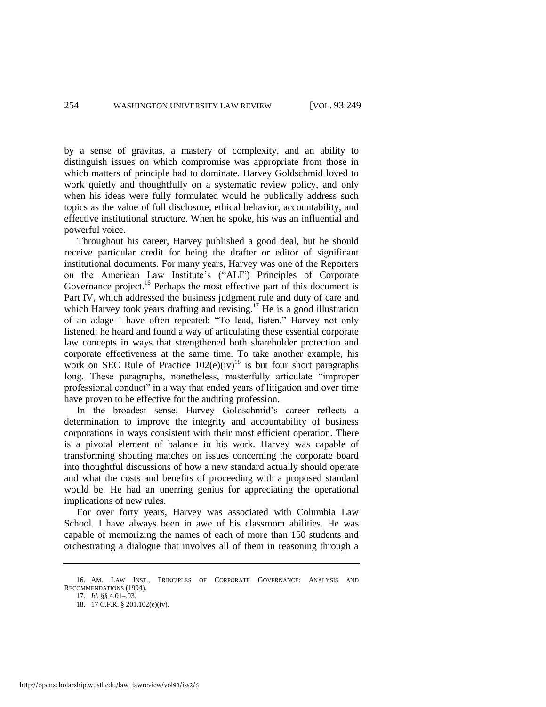by a sense of gravitas, a mastery of complexity, and an ability to distinguish issues on which compromise was appropriate from those in which matters of principle had to dominate. Harvey Goldschmid loved to work quietly and thoughtfully on a systematic review policy, and only when his ideas were fully formulated would he publically address such topics as the value of full disclosure, ethical behavior, accountability, and effective institutional structure. When he spoke, his was an influential and powerful voice.

Throughout his career, Harvey published a good deal, but he should receive particular credit for being the drafter or editor of significant institutional documents. For many years, Harvey was one of the Reporters on the American Law Institute's ("ALI") Principles of Corporate Governance project.<sup>16</sup> Perhaps the most effective part of this document is Part IV, which addressed the business judgment rule and duty of care and which Harvey took years drafting and revising.<sup>17</sup> He is a good illustration of an adage I have often repeated: "To lead, listen." Harvey not only listened; he heard and found a way of articulating these essential corporate law concepts in ways that strengthened both shareholder protection and corporate effectiveness at the same time. To take another example, his work on SEC Rule of Practice  $102(e)(iv)^{18}$  is but four short paragraphs long. These paragraphs, nonetheless, masterfully articulate "improper professional conduct" in a way that ended years of litigation and over time have proven to be effective for the auditing profession.

In the broadest sense, Harvey Goldschmid's career reflects a determination to improve the integrity and accountability of business corporations in ways consistent with their most efficient operation. There is a pivotal element of balance in his work. Harvey was capable of transforming shouting matches on issues concerning the corporate board into thoughtful discussions of how a new standard actually should operate and what the costs and benefits of proceeding with a proposed standard would be. He had an unerring genius for appreciating the operational implications of new rules.

For over forty years, Harvey was associated with Columbia Law School. I have always been in awe of his classroom abilities. He was capable of memorizing the names of each of more than 150 students and orchestrating a dialogue that involves all of them in reasoning through a

<sup>16.</sup> AM. LAW INST., PRINCIPLES OF CORPORATE GOVERNANCE: ANALYSIS AND RECOMMENDATIONS (1994).

<sup>17.</sup> *Id.* §§ 4.01–.03.

<sup>18. 17</sup> C.F.R. § 201.102(e)(iv).